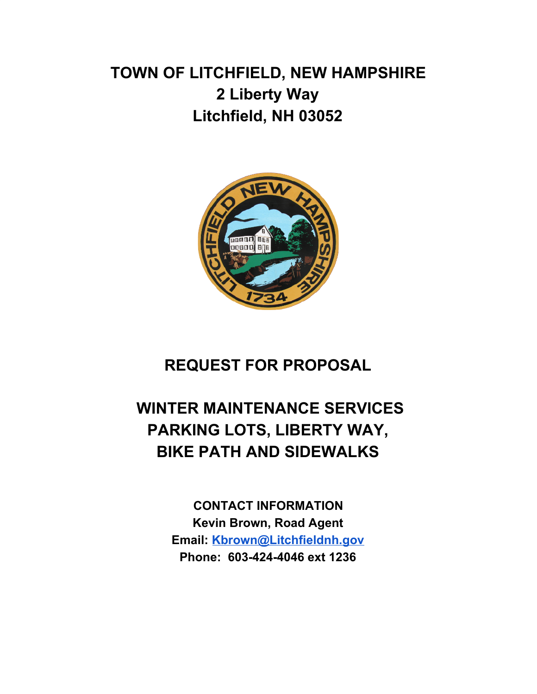**TOWN OF LITCHFIELD, NEW HAMPSHIRE 2 Liberty Way Litchfield, NH 03052**



## **REQUEST FOR PROPOSAL**

# **WINTER MAINTENANCE SERVICES PARKING LOTS, LIBERTY WAY, BIKE PATH AND SIDEWALKS**

**CONTACT INFORMATION Kevin Brown, Road Agent Email: [Kbrown@Litchfieldnh.gov](mailto:Kbrown@Litchfieldnh.gov) Phone: 603-424-4046 ext 1236**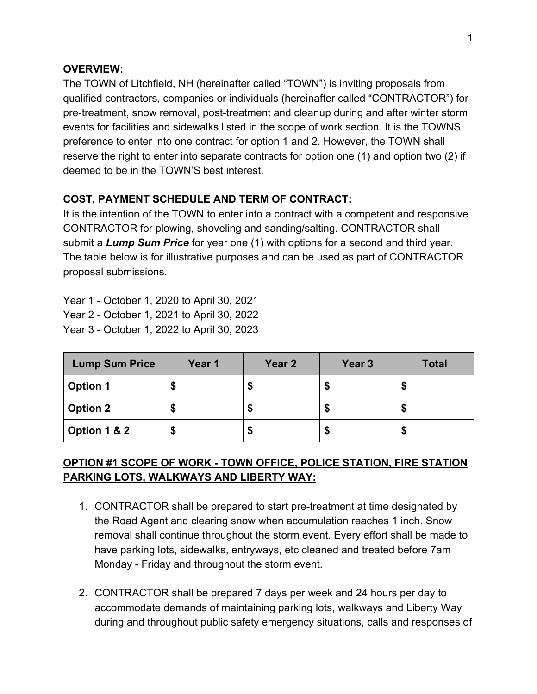#### **OVERVIEW:**

The TOWN of Litchfield, NH (hereinafter called "TOWN") is inviting proposals from qualified contractors, companies or individuals (hereinafter called "CONTRACTOR") for pre-treatment, snow removal, post-treatment and cleanup during and after winter storm events for facilities and sidewalks listed in the scope of work section. It is the TOWNS preference to enter into one contract for option 1 and 2. However, the TOWN shall reserve the right to enter into separate contracts for option one (1) and option two (2) if deemed to be in the TOWN'S best interest.

#### **COST, PAYMENT SCHEDULE AND TERM OF CONTRACT:**

It is the intention of the TOWN to enter into a contract with a competent and responsive CONTRACTOR for plowing, shoveling and sanding/salting. CONTRACTOR shall submit a *Lump Sum Price* for year one (1) with options for a second and third year. The table below is for illustrative purposes and can be used as part of CONTRACTOR proposal submissions.

Year 1 - October 1, 2020 to April 30, 2021 Year 2 - October 1, 2021 to April 30, 2022 Year 3 - October 1, 2022 to April 30, 2023

| <b>Lump Sum Price</b> | Year 1 | Year 2 | Year 3 | <b>Total</b> |
|-----------------------|--------|--------|--------|--------------|
| <b>Option 1</b>       |        |        |        |              |
| <b>Option 2</b>       |        |        |        | ۰D           |
| Option 1 & 2          |        | ۰D     | æ      | ۰D           |

## **OPTION #1 SCOPE OF WORK - TOWN OFFICE, POLICE STATION, FIRE STATION PARKING LOTS, WALKWAYS AND LIBERTY WAY:**

- 1. CONTRACTOR shall be prepared to start pre-treatment at time designated by the Road Agent and clearing snow when accumulation reaches 1 inch. Snow removal shall continue throughout the storm event. Every effort shall be made to have parking lots, sidewalks, entryways, etc cleaned and treated before 7am Monday - Friday and throughout the storm event.
- 2. CONTRACTOR shall be prepared 7 days per week and 24 hours per day to accommodate demands of maintaining parking lots, walkways and Liberty Way during and throughout public safety emergency situations, calls and responses of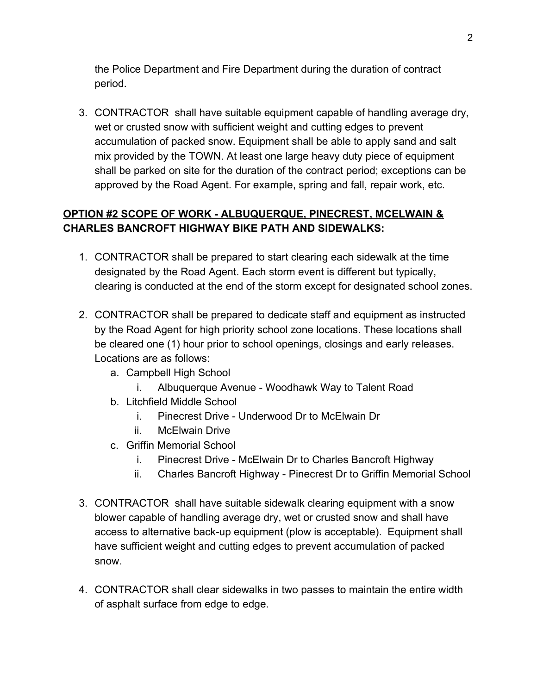the Police Department and Fire Department during the duration of contract period.

3. CONTRACTOR shall have suitable equipment capable of handling average dry, wet or crusted snow with sufficient weight and cutting edges to prevent accumulation of packed snow. Equipment shall be able to apply sand and salt mix provided by the TOWN. At least one large heavy duty piece of equipment shall be parked on site for the duration of the contract period; exceptions can be approved by the Road Agent. For example, spring and fall, repair work, etc.

## **OPTION #2 SCOPE OF WORK - ALBUQUERQUE, PINECREST, MCELWAIN & CHARLES BANCROFT HIGHWAY BIKE PATH AND SIDEWALKS:**

- 1. CONTRACTOR shall be prepared to start clearing each sidewalk at the time designated by the Road Agent. Each storm event is different but typically, clearing is conducted at the end of the storm except for designated school zones.
- 2. CONTRACTOR shall be prepared to dedicate staff and equipment as instructed by the Road Agent for high priority school zone locations. These locations shall be cleared one (1) hour prior to school openings, closings and early releases. Locations are as follows:
	- a. Campbell High School
		- i. Albuquerque Avenue Woodhawk Way to Talent Road
	- b. Litchfield Middle School
		- i. Pinecrest Drive Underwood Dr to McElwain Dr
		- ii. McElwain Drive
	- c. Griffin Memorial School
		- i. Pinecrest Drive McElwain Dr to Charles Bancroft Highway
		- ii. Charles Bancroft Highway Pinecrest Dr to Griffin Memorial School
- 3. CONTRACTOR shall have suitable sidewalk clearing equipment with a snow blower capable of handling average dry, wet or crusted snow and shall have access to alternative back-up equipment (plow is acceptable). Equipment shall have sufficient weight and cutting edges to prevent accumulation of packed snow.
- 4. CONTRACTOR shall clear sidewalks in two passes to maintain the entire width of asphalt surface from edge to edge.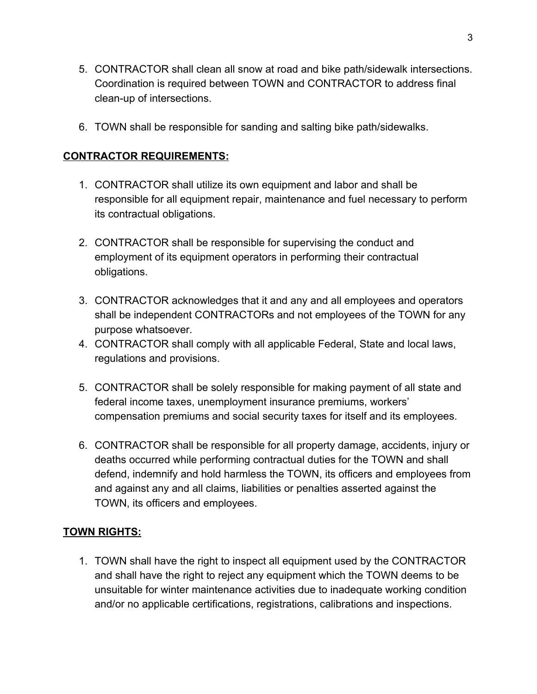- 5. CONTRACTOR shall clean all snow at road and bike path/sidewalk intersections. Coordination is required between TOWN and CONTRACTOR to address final clean-up of intersections.
- 6. TOWN shall be responsible for sanding and salting bike path/sidewalks.

#### **CONTRACTOR REQUIREMENTS:**

- 1. CONTRACTOR shall utilize its own equipment and labor and shall be responsible for all equipment repair, maintenance and fuel necessary to perform its contractual obligations.
- 2. CONTRACTOR shall be responsible for supervising the conduct and employment of its equipment operators in performing their contractual obligations.
- 3. CONTRACTOR acknowledges that it and any and all employees and operators shall be independent CONTRACTORs and not employees of the TOWN for any purpose whatsoever.
- 4. CONTRACTOR shall comply with all applicable Federal, State and local laws, regulations and provisions.
- 5. CONTRACTOR shall be solely responsible for making payment of all state and federal income taxes, unemployment insurance premiums, workers' compensation premiums and social security taxes for itself and its employees.
- 6. CONTRACTOR shall be responsible for all property damage, accidents, injury or deaths occurred while performing contractual duties for the TOWN and shall defend, indemnify and hold harmless the TOWN, its officers and employees from and against any and all claims, liabilities or penalties asserted against the TOWN, its officers and employees.

#### **TOWN RIGHTS:**

1. TOWN shall have the right to inspect all equipment used by the CONTRACTOR and shall have the right to reject any equipment which the TOWN deems to be unsuitable for winter maintenance activities due to inadequate working condition and/or no applicable certifications, registrations, calibrations and inspections.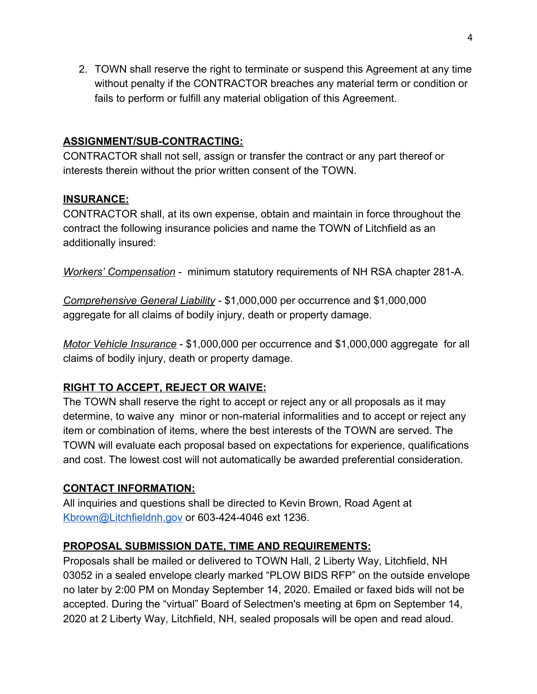2. TOWN shall reserve the right to terminate or suspend this Agreement at any time without penalty if the CONTRACTOR breaches any material term or condition or fails to perform or fulfill any material obligation of this Agreement.

#### **ASSIGNMENT/SUB-CONTRACTING:**

CONTRACTOR shall not sell, assign or transfer the contract or any part thereof or interests therein without the prior written consent of the TOWN.

#### **INSURANCE:**

CONTRACTOR shall, at its own expense, obtain and maintain in force throughout the contract the following insurance policies and name the TOWN of Litchfield as an additionally insured:

*Workers' Compensation* - minimum statutory requirements of NH RSA chapter 281-A.

*Comprehensive General Liability* - \$1,000,000 per occurrence and \$1,000,000 aggregate for all claims of bodily injury, death or property damage.

*Motor Vehicle Insurance* - \$1,000,000 per occurrence and \$1,000,000 aggregate for all claims of bodily injury, death or property damage.

## **RIGHT TO ACCEPT, REJECT OR WAIVE:**

The TOWN shall reserve the right to accept or reject any or all proposals as it may determine, to waive any minor or non-material informalities and to accept or reject any item or combination of items, where the best interests of the TOWN are served. The TOWN will evaluate each proposal based on expectations for experience, qualifications and cost. The lowest cost will not automatically be awarded preferential consideration.

#### **CONTACT INFORMATION:**

All inquiries and questions shall be directed to Kevin Brown, Road Agent at [Kbrown@Litchfieldnh.gov](mailto:Kbrown@Litchfieldnh.gov) or 603-424-4046 ext 1236.

## **PROPOSAL SUBMISSION DATE, TIME AND REQUIREMENTS:**

Proposals shall be mailed or delivered to TOWN Hall, 2 Liberty Way, Litchfield, NH 03052 in a sealed envelope clearly marked "PLOW BIDS RFP" on the outside envelope no later by 2:00 PM on Monday September 14, 2020. Emailed or faxed bids will not be accepted. During the "virtual" Board of Selectmen's meeting at 6pm on September 14, 2020 at 2 Liberty Way, Litchfield, NH, sealed proposals will be open and read aloud.